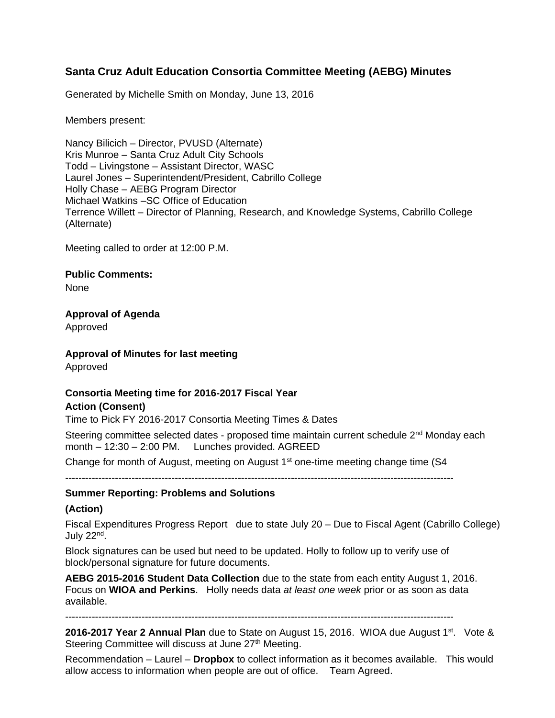# **Santa Cruz Adult Education Consortia Committee Meeting (AEBG) Minutes**

Generated by Michelle Smith on Monday, June 13, 2016

Members present:

Nancy Bilicich – Director, PVUSD (Alternate) Kris Munroe – Santa Cruz Adult City Schools Todd – Livingstone – Assistant Director, WASC Laurel Jones – Superintendent/President, Cabrillo College Holly Chase – AEBG Program Director Michael Watkins –SC Office of Education Terrence Willett – Director of Planning, Research, and Knowledge Systems, Cabrillo College (Alternate)

Meeting called to order at 12:00 P.M.

**Public Comments:**

None

**Approval of Agenda**

Approved

**Approval of Minutes for last meeting**

Approved

## **Consortia Meeting time for 2016-2017 Fiscal Year Action (Consent)**

Time to Pick FY 2016-2017 Consortia Meeting Times & Dates

Steering committee selected dates - proposed time maintain current schedule  $2<sup>nd</sup>$  Monday each month – 12:30 – 2:00 PM. Lunches provided. AGREED

Change for month of August, meeting on August  $1<sup>st</sup>$  one-time meeting change time (S4)

---------------------------------------------------------------------------------------------------------------------

#### **Summer Reporting: Problems and Solutions**

#### **(Action)**

Fiscal Expenditures Progress Report due to state July 20 – Due to Fiscal Agent (Cabrillo College) July 22nd .

Block signatures can be used but need to be updated. Holly to follow up to verify use of block/personal signature for future documents.

**AEBG 2015-2016 Student Data Collection** due to the state from each entity August 1, 2016. Focus on **WIOA and Perkins**. Holly needs data *at least one week* prior or as soon as data available.

---------------------------------------------------------------------------------------------------------------------

**2016-2017 Year 2 Annual Plan** due to State on August 15, 2016. WIOA due August 1<sup>st</sup>. Vote & Steering Committee will discuss at June 27<sup>th</sup> Meeting.

Recommendation – Laurel – **Dropbox** to collect information as it becomes available. This would allow access to information when people are out of office. Team Agreed.